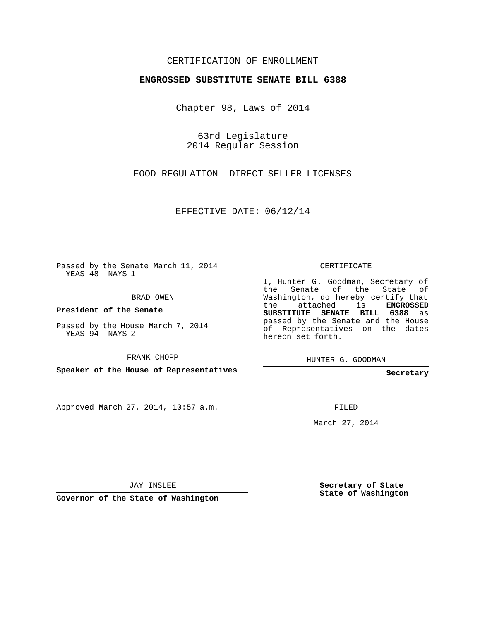## CERTIFICATION OF ENROLLMENT

## **ENGROSSED SUBSTITUTE SENATE BILL 6388**

Chapter 98, Laws of 2014

63rd Legislature 2014 Regular Session

FOOD REGULATION--DIRECT SELLER LICENSES

EFFECTIVE DATE: 06/12/14

Passed by the Senate March 11, 2014 YEAS 48 NAYS 1

BRAD OWEN

**President of the Senate**

Passed by the House March 7, 2014 YEAS 94 NAYS 2

FRANK CHOPP

**Speaker of the House of Representatives**

Approved March 27, 2014, 10:57 a.m.

CERTIFICATE

I, Hunter G. Goodman, Secretary of the Senate of the State of Washington, do hereby certify that the attached is **ENGROSSED SUBSTITUTE SENATE BILL 6388** as passed by the Senate and the House of Representatives on the dates hereon set forth.

HUNTER G. GOODMAN

**Secretary**

FILED

March 27, 2014

JAY INSLEE

**Governor of the State of Washington**

**Secretary of State State of Washington**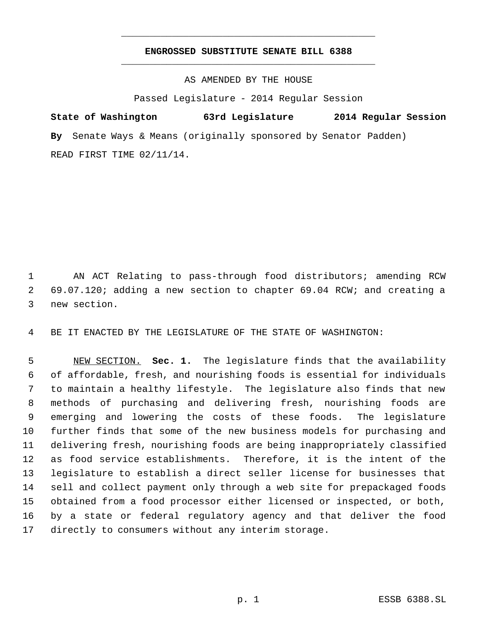## **ENGROSSED SUBSTITUTE SENATE BILL 6388** \_\_\_\_\_\_\_\_\_\_\_\_\_\_\_\_\_\_\_\_\_\_\_\_\_\_\_\_\_\_\_\_\_\_\_\_\_\_\_\_\_\_\_\_\_

\_\_\_\_\_\_\_\_\_\_\_\_\_\_\_\_\_\_\_\_\_\_\_\_\_\_\_\_\_\_\_\_\_\_\_\_\_\_\_\_\_\_\_\_\_

AS AMENDED BY THE HOUSE

Passed Legislature - 2014 Regular Session

**State of Washington 63rd Legislature 2014 Regular Session By** Senate Ways & Means (originally sponsored by Senator Padden) READ FIRST TIME 02/11/14.

 AN ACT Relating to pass-through food distributors; amending RCW 69.07.120; adding a new section to chapter 69.04 RCW; and creating a new section.

BE IT ENACTED BY THE LEGISLATURE OF THE STATE OF WASHINGTON:

 NEW SECTION. **Sec. 1.** The legislature finds that the availability of affordable, fresh, and nourishing foods is essential for individuals to maintain a healthy lifestyle. The legislature also finds that new methods of purchasing and delivering fresh, nourishing foods are emerging and lowering the costs of these foods. The legislature further finds that some of the new business models for purchasing and delivering fresh, nourishing foods are being inappropriately classified as food service establishments. Therefore, it is the intent of the legislature to establish a direct seller license for businesses that sell and collect payment only through a web site for prepackaged foods obtained from a food processor either licensed or inspected, or both, by a state or federal regulatory agency and that deliver the food directly to consumers without any interim storage.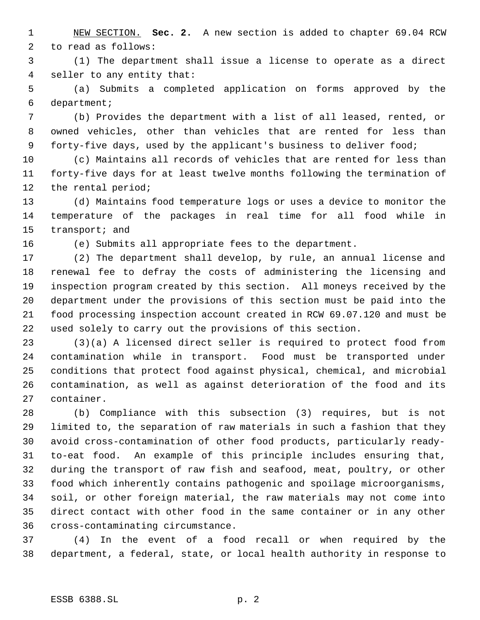NEW SECTION. **Sec. 2.** A new section is added to chapter 69.04 RCW to read as follows:

 (1) The department shall issue a license to operate as a direct seller to any entity that:

 (a) Submits a completed application on forms approved by the department;

 (b) Provides the department with a list of all leased, rented, or owned vehicles, other than vehicles that are rented for less than 9 forty-five days, used by the applicant's business to deliver food;

 (c) Maintains all records of vehicles that are rented for less than forty-five days for at least twelve months following the termination of the rental period;

 (d) Maintains food temperature logs or uses a device to monitor the temperature of the packages in real time for all food while in transport; and

(e) Submits all appropriate fees to the department.

 (2) The department shall develop, by rule, an annual license and renewal fee to defray the costs of administering the licensing and inspection program created by this section. All moneys received by the department under the provisions of this section must be paid into the food processing inspection account created in RCW 69.07.120 and must be used solely to carry out the provisions of this section.

 (3)(a) A licensed direct seller is required to protect food from contamination while in transport. Food must be transported under conditions that protect food against physical, chemical, and microbial contamination, as well as against deterioration of the food and its container.

 (b) Compliance with this subsection (3) requires, but is not limited to, the separation of raw materials in such a fashion that they avoid cross-contamination of other food products, particularly ready- to-eat food. An example of this principle includes ensuring that, during the transport of raw fish and seafood, meat, poultry, or other food which inherently contains pathogenic and spoilage microorganisms, soil, or other foreign material, the raw materials may not come into direct contact with other food in the same container or in any other cross-contaminating circumstance.

 (4) In the event of a food recall or when required by the department, a federal, state, or local health authority in response to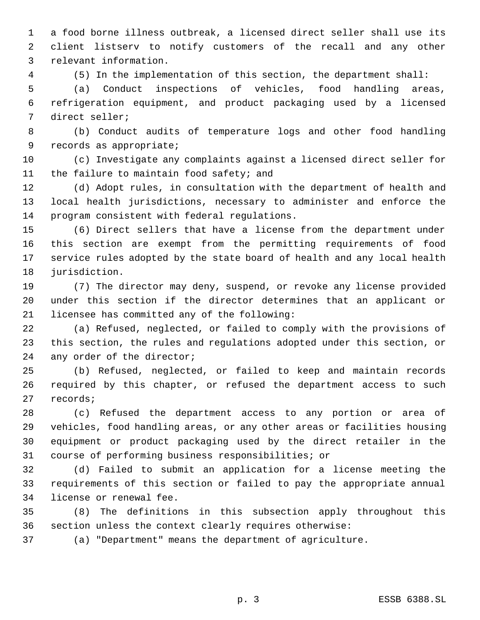a food borne illness outbreak, a licensed direct seller shall use its client listserv to notify customers of the recall and any other relevant information.

(5) In the implementation of this section, the department shall:

 (a) Conduct inspections of vehicles, food handling areas, refrigeration equipment, and product packaging used by a licensed direct seller;

 (b) Conduct audits of temperature logs and other food handling records as appropriate;

 (c) Investigate any complaints against a licensed direct seller for 11 the failure to maintain food safety; and

 (d) Adopt rules, in consultation with the department of health and local health jurisdictions, necessary to administer and enforce the program consistent with federal regulations.

 (6) Direct sellers that have a license from the department under this section are exempt from the permitting requirements of food service rules adopted by the state board of health and any local health 18 jurisdiction.

 (7) The director may deny, suspend, or revoke any license provided under this section if the director determines that an applicant or licensee has committed any of the following:

 (a) Refused, neglected, or failed to comply with the provisions of this section, the rules and regulations adopted under this section, or 24 any order of the director;

 (b) Refused, neglected, or failed to keep and maintain records required by this chapter, or refused the department access to such records;

 (c) Refused the department access to any portion or area of vehicles, food handling areas, or any other areas or facilities housing equipment or product packaging used by the direct retailer in the course of performing business responsibilities; or

 (d) Failed to submit an application for a license meeting the requirements of this section or failed to pay the appropriate annual license or renewal fee.

 (8) The definitions in this subsection apply throughout this section unless the context clearly requires otherwise:

(a) "Department" means the department of agriculture.